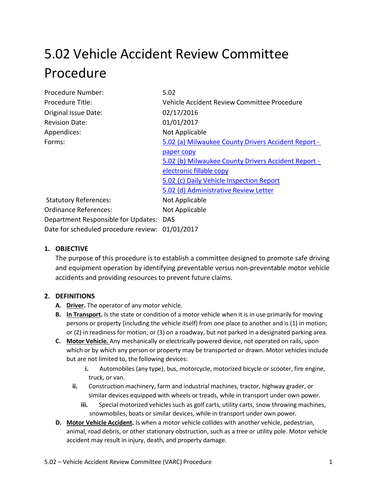# 5.02 Vehicle Accident Review Committee Procedure

| Procedure Number:                               | 5.02                                                |
|-------------------------------------------------|-----------------------------------------------------|
| Procedure Title:                                | Vehicle Accident Review Committee Procedure         |
| Original Issue Date:                            | 02/17/2016                                          |
| <b>Revision Date:</b>                           | 01/01/2017                                          |
| Appendices:                                     | Not Applicable                                      |
| Forms:                                          | 5.02 (a) Milwaukee County Drivers Accident Report - |
|                                                 | paper copy                                          |
|                                                 | 5.02 (b) Milwaukee County Drivers Accident Report - |
|                                                 | electronic fillable copy                            |
|                                                 | 5.02 (c) Daily Vehicle Inspection Report            |
|                                                 | 5.02 (d) Administrative Review Letter               |
| <b>Statutory References:</b>                    | Not Applicable                                      |
| Ordinance References:                           | Not Applicable                                      |
| Department Responsible for Updates: DAS         |                                                     |
| Date for scheduled procedure review: 01/01/2017 |                                                     |
|                                                 |                                                     |

# **1. OBJECTIVE**

The purpose of this procedure is to establish a committee designed to promote safe driving and equipment operation by identifying preventable versus non-preventable motor vehicle accidents and providing resources to prevent future claims.

## **2. DEFINITIONS**

- **A. Driver.** The operator of any motor vehicle.
- **B. In Transport.** Is the state or condition of a motor vehicle when it is in use primarily for moving persons or property (including the vehicle itself) from one place to another and is (1) in motion; or (2) in readiness for motion; or (3) on a roadway, but not parked in a designated parking area.
- **C. Motor Vehicle.** Any mechanically or electrically powered device, not operated on rails, upon which or by which any person or property may be transported or drawn. Motor vehicles include but are not limited to, the following devices:
	- **i.** Automobiles (any type), bus, motorcycle, motorized bicycle or scooter, fire engine, truck, or van.
	- **ii.** Construction machinery, farm and industrial machines, tractor, highway grader, or similar devices equipped with wheels or treads, while in transport under own power.
		- **iii.** Special motorized vehicles such as golf carts, utility carts, snow throwing machines, snowmobiles, boats or similar devices, while in transport under own power.
- **D. Motor Vehicle Accident.** Is when a mot[or vehicle](https://en.wikipedia.org/wiki/Vehicle) [collides](https://en.wikipedia.org/wiki/Collision) with another vehicle, pedestrian, animal, road [debris,](https://en.wikipedia.org/wiki/Road_debris) or other stationary obstruction, such as a tree or [utility](https://en.wikipedia.org/wiki/Utility_pole) pole. Motor vehicle accident may result in injury, death, and property damage.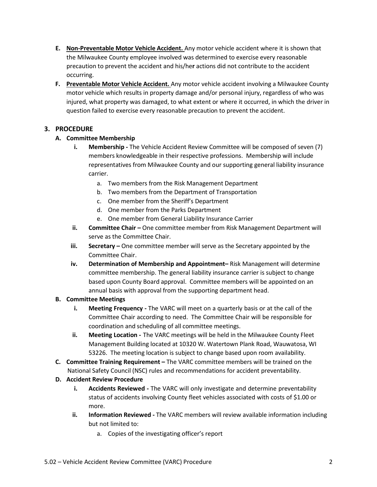- **E. Non-Preventable Motor Vehicle Accident.** Any motor vehicle accident where it is shown that the Milwaukee County employee involved was determined to exercise every reasonable precaution to prevent the accident and his/he**r** actions did not contribute to the accident occurring.
- **F. Preventable Motor Vehicle Accident.** Any motor vehicle accident involving a Milwaukee County motor vehicle which results in property damage and/or personal injury, regardless of who was injured, what property was damaged, to what extent or where it occurred, in which the driver in question failed to exercise every reasonable precaution to prevent the accident.

## **3. PROCEDURE**

## **A. Committee Membership**

- **i. Membership -** The Vehicle Accident Review Committee will be composed of seven (7) members knowledgeable in their respective professions. Membership will include representatives from Milwaukee County and our supporting general liability insurance carrier.
	- a. Two members from the Risk Management Department
	- b. Two members from the Department of Transportation
	- c. One member from the Sheriff's Department
	- d. One member from the Parks Department
	- e. One member from General Liability Insurance Carrier
- **ii. Committee Chair –** One committee member from Risk Management Department will serve as the Committee Chair.
- **iii. Secretary –** One committee member will serve as the Secretary appointed by the Committee Chair.
- **iv. Determination of Membership and Appointment–** Risk Management will determine committee membership. The general liability insurance carrier is subject to change based upon County Board approval. Committee members will be appointed on an annual basis with approval from the supporting department head.

## **B. Committee Meetings**

- **i. Meeting Frequency -** The VARC will meet on a quarterly basis or at the call of the Committee Chair according to need. The Committee Chair will be responsible for coordination and scheduling of all committee meetings.
- **ii. Meeting Location -** The VARC meetings will be held in the Milwaukee County Fleet Management Building located at 10320 W. Watertown Plank Road, Wauwatosa, WI 53226. The meeting location is subject to change based upon room availability.
- **C. Committee Training Requirement –** The VARC committee members will be trained on the National Safety Council (NSC) rules and recommendations for accident preventability.

# **D. Accident Review Procedure**

- **i. Accidents Reviewed -** The VARC will only investigate and determine preventability status of accidents involving County fleet vehicles associated with costs of \$1.00 or more.
- **ii. Information Reviewed -** The VARC members will review available information including but not limited to:
	- a. Copies of the investigating officer's report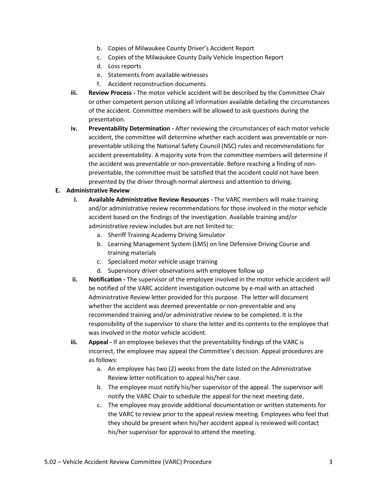- b. Copies of Milwaukee County Driver's Accident Report
- c. Copies of the Milwaukee County Daily Vehicle Inspection Report
- d. Loss reports
- e. Statements from available witnesses
- f. Accident reconstruction documents
- **iii. Review Process -** The motor vehicle accident will be described by the Committee Chair or other competent person utilizing all information available detailing the circumstances of the accident. Committee members will be allowed to ask questions during the presentation.
- **iv. Preventability Determination -** After reviewing the circumstances of each motor vehicle accident, the committee will determine whether each accident was preventable or nonpreventable utilizing the National Safety Council (NSC) rules and recommendations for accident preventability. A majority vote from the committee members will determine if the accident was preventable or non-preventable. Before reaching a finding of nonpreventable, the committee must be satisfied that the accident could not have been prevented by the driver through normal alertness and attention to driving.

#### **E. Administrative Review**

- **i. Available Administrative Review Resources -** The VARC members will make training and/or administrative review recommendations for those involved in the motor vehicle accident based on the findings of the investigation. Available training and/or administrative review includes but are not limited to:
	- a. Sheriff Training Academy Driving Simulator
	- b. Learning Management System (LMS) on line Defensive Driving Course and training materials
	- c. Specialized motor vehicle usage training
	- d. Supervisory driver observations with employee follow up
- **ii. Notification -** The supervisor of the employee involved in the motor vehicle accident will be notified of the VARC accident investigation outcome by e-mail with an attached Administrative Review letter provided for this purpose. The letter will document whether the accident was deemed preventable or non-preventable and any recommended training and/or administrative review to be completed. It is the responsibility of the supervisor to share the letter and its contents to the employee that was involved in the motor vehicle accident.
- **iii. Appeal -** If an employee believes that the preventability findings of the VARC is incorrect, the employee may appeal the Committee's decision. Appeal procedures are as follows:
	- a. An employee has two (2) weeks from the date listed on the Administrative Review letter notification to appeal his/her case.
	- b. The employee must notify his/her supervisor of the appeal. The supervisor will notify the VARC Chair to schedule the appeal for the next meeting date.
	- c. The employee may provide additional documentation or written statements for the VARC to review prior to the appeal review meeting. Employees who feel that they should be present when his/her accident appeal is reviewed will contact his/her supervisor for approval to attend the meeting.